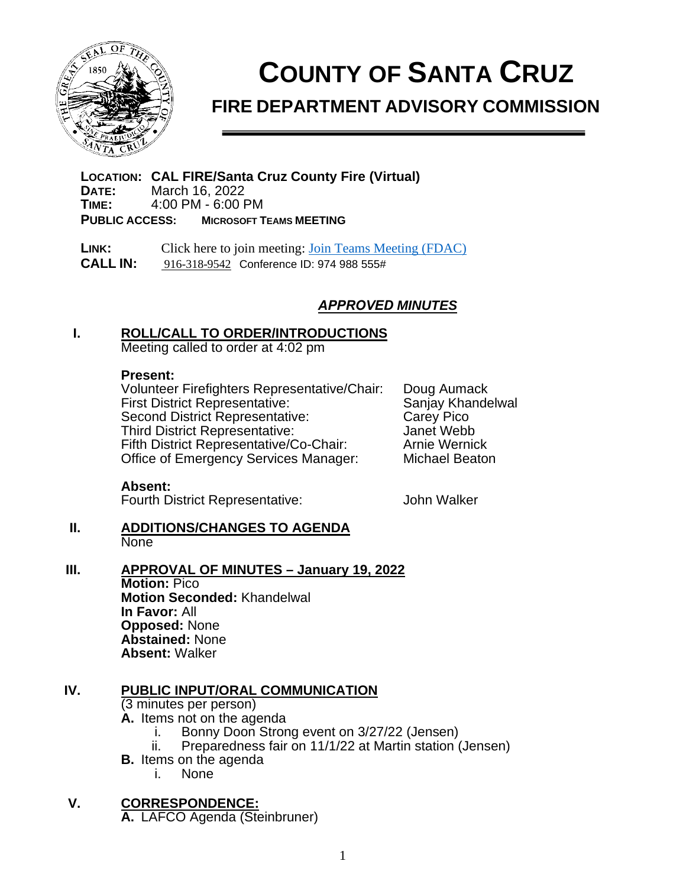

# **COUNTY OF SANTA CRUZ**

# **FIRE DEPARTMENT ADVISORY COMMISSION**

**LOCATION: CAL FIRE/Santa Cruz County Fire (Virtual) DATE:** March 16, 2022<br>**TIME:** 4:00 PM - 6:00 P **TIME:** 4:00 PM - 6:00 PM **PUBLIC ACCESS: MICROSOFT TEAMS MEETING**

**LINK:** Click here to join meeting: [Join Teams Meeting \(FDAC\)](https://gcc02.safelinks.protection.outlook.com/ap/t-59584e83/?url=https%3A%2F%2Fteams.microsoft.com%2Fl%2Fmeetup-join%2F19%253a404b001113474a6290af08eb78b72254%2540thread.skype%2F1614891702550%3Fcontext%3D%257b%2522Tid%2522%253a%252252044d34-04cb-41a4-a0cd-54ae6eeffb9f%2522%252c%2522Oid%2522%253a%2522dc794d6b-b7db-4621-a950-51c8d2f23d8b%2522%257d&data=04%7C01%7CMelissa.Scalia%40fire.ca.gov%7Cf1b40314a52f4caa3b8c08d8df51062d%7C447a4ca05405454dad68c98a520261f8%7C1%7C0%7C637504886393987393%7CUnknown%7CTWFpbGZsb3d8eyJWIjoiMC4wLjAwMDAiLCJQIjoiV2luMzIiLCJBTiI6Ik1haWwiLCJXVCI6Mn0%3D%7C1000&sdata=7uAvt0psD%2Ffk1Zgy30PSUwBr00apAXDxzSKqxrkSxlQ%3D&reserved=0)  **CALL IN:** [916-318-9542](tel:+1%20916-318-9542,,214539297#%20) Conference ID: 974 988 555#

# *APPROVED MINUTES*

#### **I. ROLL/CALL TO ORDER/INTRODUCTIONS**

Meeting called to order at 4:02 pm

#### **Present:**

Volunteer Firefighters Representative/Chair: Doug Aumack First District Representative: Sanjay Khandelwall Sanjay Khandelwall Second District Representative: Second District Representative: Carey Pico<br>Third District Representative: Same Hanet Webb Third District Representative: Janet Webb Fifth District Representative/Co-Chair: Office of Emergency Services Manager: Michael Beaton

#### **Absent:**

Fourth District Representative: John Walker

- **II. ADDITIONS/CHANGES TO AGENDA None**
- **III. APPROVAL OF MINUTES January 19, 2022**

**Motion:** Pico **Motion Seconded:** Khandelwal **In Favor:** All **Opposed:** None **Abstained:** None **Absent:** Walker

#### **IV. PUBLIC INPUT/ORAL COMMUNICATION**

(3 minutes per person)

- **A.** Items not on the agenda
	- Bonny Doon Strong event on 3/27/22 (Jensen)
	- ii. Preparedness fair on 11/1/22 at Martin station (Jensen)
- **B.** Items on the agenda
	- i. None

**V. CORRESPONDENCE: A.** LAFCO Agenda (Steinbruner)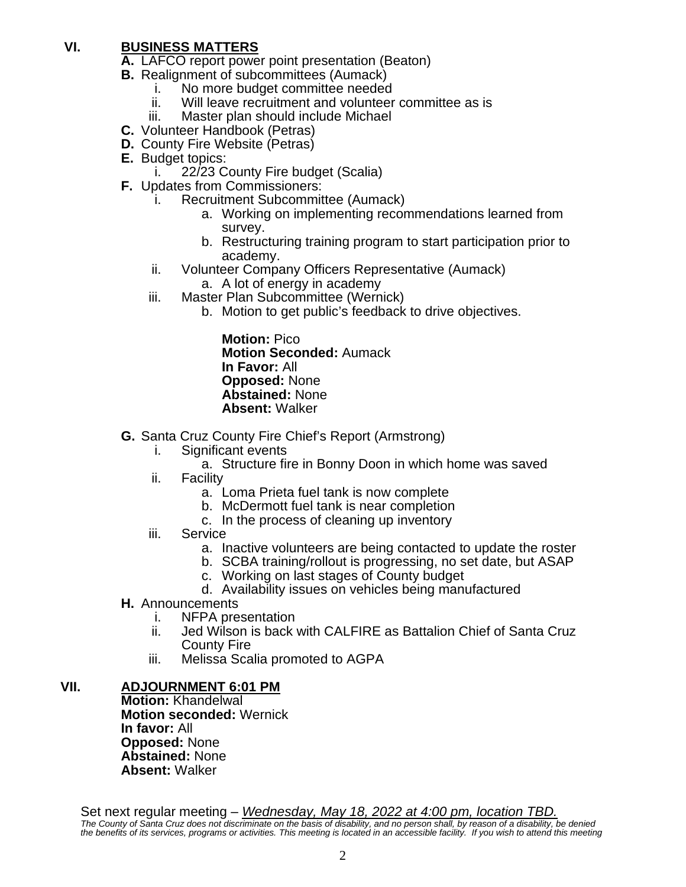# **VI. BUSINESS MATTERS**

**A.** LAFCO report power point presentation (Beaton)

- **B.** Realignment of subcommittees (Aumack)
	- i. No more budget committee needed
	- ii. Will leave recruitment and volunteer committee as is <br>iii. Master plan should include Michael
	- Master plan should include Michael
- **C.** Volunteer Handbook (Petras)
- **D.** County Fire Website (Petras)
- **E.** Budget topics:
	- i. 22/23 County Fire budget (Scalia)
- **F.** Updates from Commissioners:
	- i. Recruitment Subcommittee (Aumack)
		- a. Working on implementing recommendations learned from survey.
		- b. Restructuring training program to start participation prior to academy.
	- ii. Volunteer Company Officers Representative (Aumack)
		- a. A lot of energy in academy
	- iii. Master Plan Subcommittee (Wernick)
		- b. Motion to get public's feedback to drive objectives.

**Motion:** Pico **Motion Seconded:** Aumack **In Favor:** All **Opposed:** None **Abstained:** None **Absent:** Walker

- **G.** Santa Cruz County Fire Chief's Report (Armstrong)
	- i. Significant events
		- a. Structure fire in Bonny Doon in which home was saved
	- ii. Facility
		- a. Loma Prieta fuel tank is now complete
		- b. McDermott fuel tank is near completion
		- c. In the process of cleaning up inventory
	- iii. Service
		- a. Inactive volunteers are being contacted to update the roster
		- b. SCBA training/rollout is progressing, no set date, but ASAP
		- c. Working on last stages of County budget
		- d. Availability issues on vehicles being manufactured
- **H.** Announcements<br>i. NFPA pre
	- i. NFPA presentation<br>ii. Jed Wilson is back
	- Jed Wilson is back with CALFIRE as Battalion Chief of Santa Cruz County Fire
	- iii. Melissa Scalia promoted to AGPA

### **VII. ADJOURNMENT 6:01 PM**

**Motion:** Khandelwal **Motion seconded:** Wernick **In favor:** All **Opposed:** None **Abstained:** None **Absent:** Walker